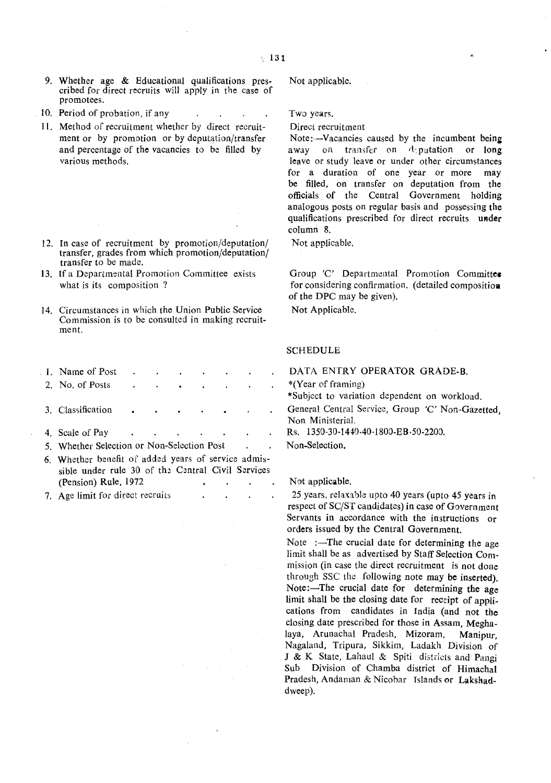- 9. Whether age & Educational qualifications prescribed for direct recruits will apply in the case of promotees.
- 10. Period of probation, if any
- II. Method of recruitment whether by direct recruitment or by promotion or by deputation/transfer and percentage of the vacancies to be filled by various methods.
- 12. In case of recruitment by promotion/deputation/ transfer, grades from which promotion/deputation/ transfer to be made.
- 13. If a Departmental Promotion Committee exists what is its composition?
- 14. Circumstances in which the Union Public Service Commission is to be consulted in making recruitment.
- 1. Name of Post 2. No. of Posts 3. Classification 4. Scale of Pay 5. Whether Selection or Non-Selection Post 6. Whether benefit of added years of service admissible under rule 30 of the Central Civil Services
- (Pension) Rule, 1972 7. Age limit for direct recruits

Not applicable.

Two years.

Direct recruitment

Note:—Vacancies caused by the incumbent being away on transfer on deputation or long leave or study leave or under other circumstances for a duration of one year or more may be filled, on transfer on deputation from the officials of the Central Government holding analogous posts on regular basis and possessing the qualifications prescribed for direct recruits under column 8.

Not applicable.

Group 'C' Departmental Promotion Committee for considering confirmation. (detailed compositioa of the DPC may be given).

Not Applicable.

## **SCHEDULE**

DATA ENTRY OPERATOR GRADE-B.

\*(Year of framing)

\*Subject to variation dependent on workload.

General Central Service, Group 'C' Non-Gazetted, Non Ministerial.

Rs. 1350-30-1440·40·1800-EB·50-2200.

Non-Selection.

## Not applicable.

25 years, relaxable upto 40 years (upto 45 years in respect of SC/ST candidates) in case of Government Servants in accordance with the instructions or orders issued by the Central Government.

Note :-The crucial date for determining the age limit shall be as advertised by Staff Selection Commission (in case the direct recruitment is not done through SSC the following note may be inserted). Note:-The crucial date for determining the age limit shall be the closing date for receipt of applications from candidates in India (and not the closing date prescribed for those in Assam, Meghalaya, Arunachal Pradesh, Mizoram, Manipur, Nagaland, Tripura, Sikkim, Ladakh Division of J & K State, Lahaul & Spiti districts and Pangi Sub Division of Chamba district of Himachal Pradesh, Andaman & Nicobar Islands or Lakshaddweep).